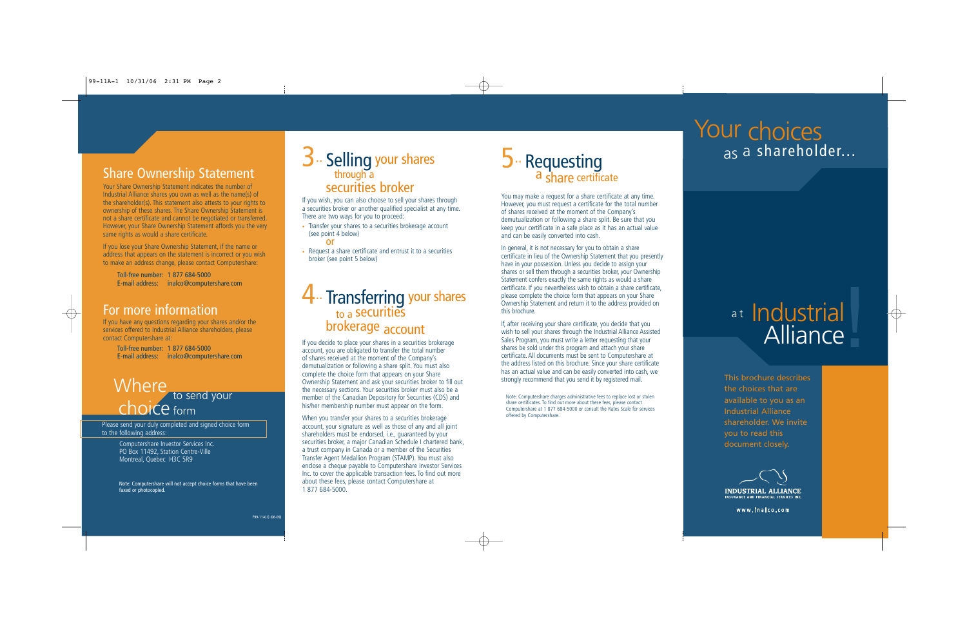## Share Ownership Statement

Your Share Ownership Statement indicates the number of Industrial Alliance shares you own as well as the name(s) of the shareholder(s). This statement also attests to your rights to ownership of these shares. The Share Ownership Statement is not a share certificate and cannot be negotiated or transferred. However, your Share Ownership Statement affords you the very same rights as would a share certificate.

If you lose your Share Ownership Statement, if the name or address that appears on the statement is incorrect or you wish to make an address change, please contact Computershare:

Toll-free number: 1 877 684-5000 E-mail address: inalco@computershare.com

## For more information

If you have any questions regarding your shares and/or the services offered to Industrial Alliance shareholders, please contact Computershare at:

> Toll-free number: 1 877 684-5000 E-mail address: inalco@computershare.com

# Where to send your

Please send your duly completed and signed choice form to the following address:

> Computershare Investor Services Inc. PO Box 11492, Station Centre-Ville Montreal, Quebec H3C 5R9

Note: Computershare will not accept choice forms that have been faxed or photocopied.



If you wish, you can also choose to sell your shares through a securities broker or another qualified specialist at any time. There are two ways for you to proceed:

• Transfer your shares to a securities brokerage account (see point 4 below)

or

• Request a share certificate and entrust it to a securities broker (see point 5 below)

## 4.. Transferring your shares to a securities brokerage account

If you decide to place your shares in a securities brokerage account, you are obligated to transfer the total number of shares received at the moment of the Company's demutualization or following a share split. You must also complete the choice form that appears on your Share Ownership Statement and ask your securities broker to fill out the necessary sections. Your securities broker must also be a member of the Canadian Depository for Securities (CDS) and his/her membership number must appear on the form.

When you transfer your shares to a securities brokerage account, your signature as well as those of any and all joint shareholders must be endorsed, i.e., guaranteed by your securities broker, a major Canadian Schedule I chartered bank, a trust company in Canada or a member of the Securities Transfer Agent Medallion Program (STAMP). You must also enclose a cheque payable to Computershare Investor Services Inc. to cover the applicable transaction fees. To find out more about these fees, please contact Computershare at 1 877 684-5000.

## $5.$  Requesting<br>a share certificate

You may make a request for a share certificate at any time. However, you must request a certificate for the total number of shares received at the moment of the Company's demutualization or following a share split. Be sure that you keep your certificate in a safe place as it has an actual value and can be easily converted into cash.

In general, it is not necessary for you to obtain a share certificate in lieu of the Ownership Statement that you presently have in your possession. Unless you decide to assign your shares or sell them through a securities broker, your Ownership Statement confers exactly the same rights as would a share certificate. If you nevertheless wish to obtain a share certificate, please complete the choice form that appears on your Share Ownership Statement and return it to the address provided on this brochure.

If, after receiving your share certificate, you decide that you wish to sell your shares through the Industrial Alliance Assisted Sales Program, you must write a letter requesting that your shares be sold under this program and attach your share certificate. All documents must be sent to Computershare at the address listed on this brochure. Since your share certificate has an actual value and can be easily converted into cash, we strongly recommend that you send it by registered mail.

Note: Computershare charges administrative fees to replace lost or stolen share certificates. To find out more about these fees, please contact Computershare at 1 877 684-5000 or consult the Rates Scale for services offered by Computershare.

## Your choices <sub>as</sub> a shareholder...

## at Industrial Alliance

This brochure describes the choices that are available to you as an Industrial Alliance shareholder. We invite you to read this document closely.



www.inalco.com